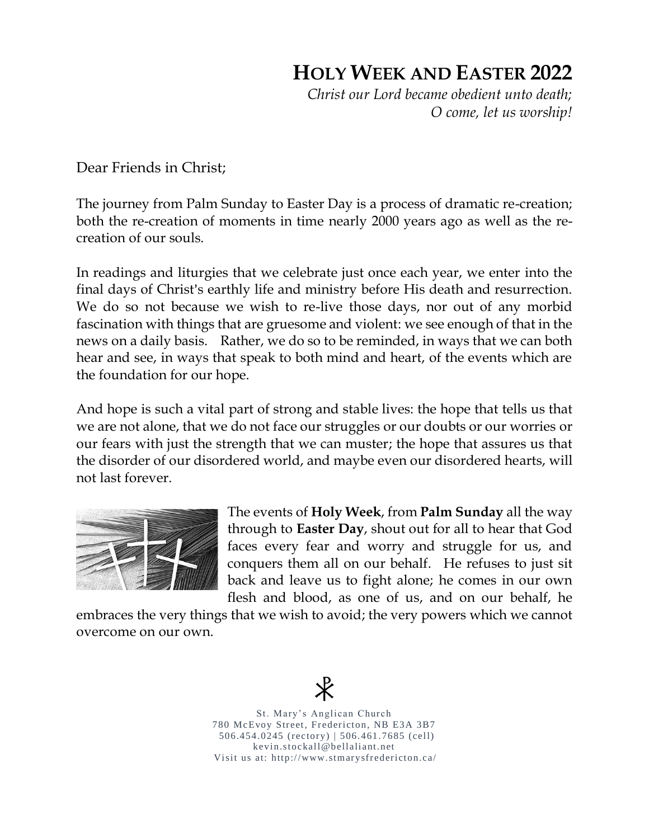## **HOLY WEEK AND EASTER 2022**

*Christ our Lord became obedient unto death; O come, let us worship!*

Dear Friends in Christ;

The journey from Palm Sunday to Easter Day is a process of dramatic re-creation; both the re-creation of moments in time nearly 2000 years ago as well as the recreation of our souls.

In readings and liturgies that we celebrate just once each year, we enter into the final days of Christ's earthly life and ministry before His death and resurrection. We do so not because we wish to re-live those days, nor out of any morbid fascination with things that are gruesome and violent: we see enough of that in the news on a daily basis. Rather, we do so to be reminded, in ways that we can both hear and see, in ways that speak to both mind and heart, of the events which are the foundation for our hope.

And hope is such a vital part of strong and stable lives: the hope that tells us that we are not alone, that we do not face our struggles or our doubts or our worries or our fears with just the strength that we can muster; the hope that assures us that the disorder of our disordered world, and maybe even our disordered hearts, will not last forever.



The events of **Holy Week**, from **Palm Sunday** all the way through to **Easter Day**, shout out for all to hear that God faces every fear and worry and struggle for us, and conquers them all on our behalf. He refuses to just sit back and leave us to fight alone; he comes in our own flesh and blood, as one of us, and on our behalf, he

embraces the very things that we wish to avoid; the very powers which we cannot overcome on our own.



St. Mary's Anglican Church 780 McEvoy Street, Fredericton, NB E3A 3B7 506.454.0245 (rectory) | 506.461.7685 (cell) kevin.stockall@bellaliant.net Visit us at: http://www.stmarysfredericton.ca/